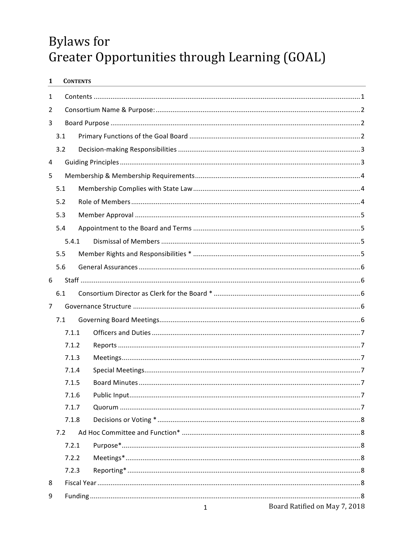# **Bylaws** for Greater Opportunities through Learning (GOAL)

| 1              |     |                                  | <b>CONTENTS</b> |                               |  |  |
|----------------|-----|----------------------------------|-----------------|-------------------------------|--|--|
| 1              |     |                                  |                 |                               |  |  |
| 2              |     |                                  |                 |                               |  |  |
| 3              |     |                                  |                 |                               |  |  |
|                | 3.1 |                                  |                 |                               |  |  |
|                | 3.2 |                                  |                 |                               |  |  |
| 4              |     |                                  |                 |                               |  |  |
| 5              |     |                                  |                 |                               |  |  |
|                | 5.1 |                                  |                 |                               |  |  |
|                | 5.2 |                                  |                 |                               |  |  |
|                | 5.3 |                                  |                 |                               |  |  |
|                | 5.4 |                                  |                 |                               |  |  |
|                |     | 5.4.1                            |                 |                               |  |  |
|                | 5.5 |                                  |                 |                               |  |  |
|                | 5.6 |                                  |                 |                               |  |  |
| 6              |     |                                  |                 |                               |  |  |
|                | 6.1 |                                  |                 |                               |  |  |
| $\overline{7}$ |     |                                  |                 |                               |  |  |
|                | 7.1 |                                  |                 |                               |  |  |
|                |     | 7.1.1                            |                 |                               |  |  |
|                |     | 7.1.2                            |                 |                               |  |  |
|                |     | 7.1.3<br>7.1.4<br>7.1.5<br>7.1.6 |                 |                               |  |  |
|                |     |                                  |                 |                               |  |  |
|                |     |                                  |                 |                               |  |  |
|                |     |                                  |                 |                               |  |  |
|                |     | 7.1.7                            |                 |                               |  |  |
|                |     | 7.1.8                            |                 |                               |  |  |
|                | 7.2 |                                  |                 |                               |  |  |
|                |     | 7.2.1                            |                 |                               |  |  |
|                |     | 7.2.2<br>7.2.3                   |                 |                               |  |  |
| 8              |     |                                  |                 |                               |  |  |
| 9              |     |                                  |                 |                               |  |  |
|                |     |                                  |                 | Peard Detified on May 7, 2010 |  |  |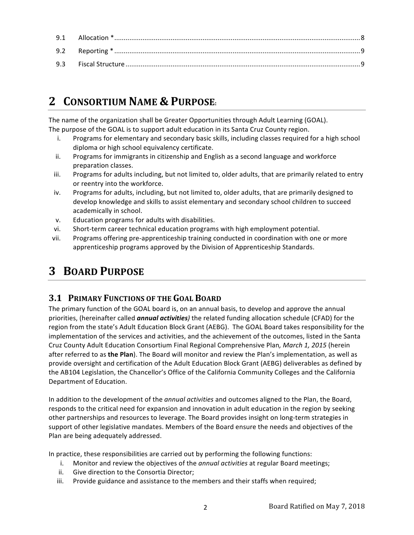## **2 CONSORTIUM NAME & PURPOSE:**

The name of the organization shall be Greater Opportunities through Adult Learning (GOAL). The purpose of the GOAL is to support adult education in its Santa Cruz County region.

- i. Programs for elementary and secondary basic skills, including classes required for a high school diploma or high school equivalency certificate.
- ii. Programs for immigrants in citizenship and English as a second language and workforce preparation classes.
- iii. Programs for adults including, but not limited to, older adults, that are primarily related to entry or reentry into the workforce.
- iv. Programs for adults, including, but not limited to, older adults, that are primarily designed to develop knowledge and skills to assist elementary and secondary school children to succeed academically in school.
- v. Education programs for adults with disabilities.
- vi. Short-term career technical education programs with high employment potential.
- vii. Programs offering pre-apprenticeship training conducted in coordination with one or more apprenticeship programs approved by the Division of Apprenticeship Standards.

## **3 BOARD PURPOSE**

## **3.1 PRIMARY FUNCTIONS OF THE GOAL BOARD**

The primary function of the GOAL board is, on an annual basis, to develop and approve the annual priorities, (hereinafter called **annual activities**) the related funding allocation schedule (CFAD) for the region from the state's Adult Education Block Grant (AEBG). The GOAL Board takes responsibility for the implementation of the services and activities, and the achievement of the outcomes, listed in the Santa Cruz County Adult Education Consortium Final Regional Comprehensive Plan, March 1, 2015 (herein after referred to as the Plan). The Board will monitor and review the Plan's implementation, as well as provide oversight and certification of the Adult Education Block Grant (AEBG) deliverables as defined by the AB104 Legislation, the Chancellor's Office of the California Community Colleges and the California Department of Education.

In addition to the development of the *annual activities* and outcomes aligned to the Plan, the Board, responds to the critical need for expansion and innovation in adult education in the region by seeking other partnerships and resources to leverage. The Board provides insight on long-term strategies in support of other legislative mandates. Members of the Board ensure the needs and objectives of the Plan are being adequately addressed.

In practice, these responsibilities are carried out by performing the following functions:

- i. Monitor and review the objectives of the *annual activities* at regular Board meetings;
- ii. Give direction to the Consortia Director;
- iii. Provide guidance and assistance to the members and their staffs when required;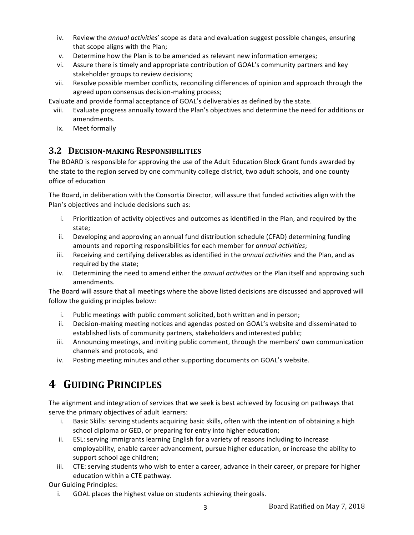- iv. Review the *annual activities'* scope as data and evaluation suggest possible changes, ensuring that scope aligns with the Plan;
- v. Determine how the Plan is to be amended as relevant new information emerges;
- vi. Assure there is timely and appropriate contribution of GOAL's community partners and key stakeholder groups to review decisions;
- vii. Resolve possible member conflicts, reconciling differences of opinion and approach through the agreed upon consensus decision-making process;

Evaluate and provide formal acceptance of GOAL's deliverables as defined by the state.

- viii. Evaluate progress annually toward the Plan's objectives and determine the need for additions or amendments.
- ix. Meet formally

### **3.2 DECISION-MAKING RESPONSIBILITIES**

The BOARD is responsible for approving the use of the Adult Education Block Grant funds awarded by the state to the region served by one community college district, two adult schools, and one county office of education

The Board, in deliberation with the Consortia Director, will assure that funded activities align with the Plan's objectives and include decisions such as:

- i. Prioritization of activity objectives and outcomes as identified in the Plan, and required by the state;
- ii. Developing and approving an annual fund distribution schedule (CFAD) determining funding amounts and reporting responsibilities for each member for *annual activities*;
- iii. Receiving and certifying deliverables as identified in the *annual activities* and the Plan, and as required by the state;
- iv. Determining the need to amend either the *annual activities* or the Plan itself and approving such amendments.

The Board will assure that all meetings where the above listed decisions are discussed and approved will follow the guiding principles below:

- i. Public meetings with public comment solicited, both written and in person;
- ii. Decision-making meeting notices and agendas posted on GOAL's website and disseminated to established lists of community partners, stakeholders and interested public;
- iii. Announcing meetings, and inviting public comment, through the members' own communication channels and protocols, and
- iv. Posting meeting minutes and other supporting documents on GOAL's website.

## **4 GUIDING PRINCIPLES**

The alignment and integration of services that we seek is best achieved by focusing on pathways that serve the primary objectives of adult learners:

- i. Basic Skills: serving students acquiring basic skills, often with the intention of obtaining a high school diploma or GED, or preparing for entry into higher education;
- ii. ESL: serving immigrants learning English for a variety of reasons including to increase employability, enable career advancement, pursue higher education, or increase the ability to support school age children;
- iii. CTE: serving students who wish to enter a career, advance in their career, or prepare for higher education within a CTE pathway.

Our Guiding Principles:

i. GOAL places the highest value on students achieving their goals.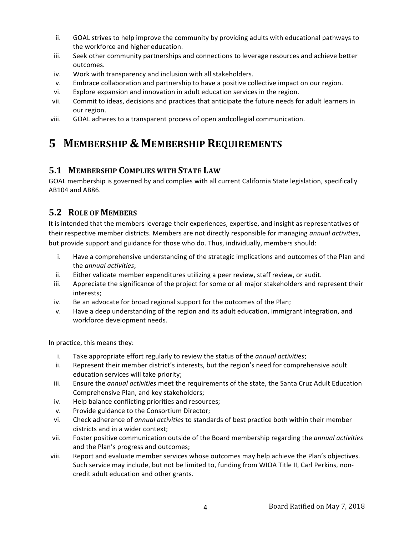- ii. GOAL strives to help improve the community by providing adults with educational pathways to the workforce and higher education.
- iii. Seek other community partnerships and connections to leverage resources and achieve better outcomes.
- iv. Work with transparency and inclusion with all stakeholders.
- v. Embrace collaboration and partnership to have a positive collective impact on our region.
- vi. Explore expansion and innovation in adult education services in the region.
- vii. Commit to ideas, decisions and practices that anticipate the future needs for adult learners in our region.
- viii. GOAL adheres to a transparent process of open andcollegial communication.

## **5 MEMBERSHIP & MEMBERSHIP REQUIREMENTS**

## **5.1 MEMBERSHIP COMPLIES WITH STATE LAW**

GOAL membership is governed by and complies with all current California State legislation, specifically AB104 and AB86.

## **5.2 ROLE OF MEMBERS**

It is intended that the members leverage their experiences, expertise, and insight as representatives of their respective member districts. Members are not directly responsible for managing *annual activities*, but provide support and guidance for those who do. Thus, individually, members should:

- i. Have a comprehensive understanding of the strategic implications and outcomes of the Plan and the *annual activities*;
- ii. Either validate member expenditures utilizing a peer review, staff review, or audit.
- iii. Appreciate the significance of the project for some or all major stakeholders and represent their interests;
- iv. Be an advocate for broad regional support for the outcomes of the Plan;
- v. Have a deep understanding of the region and its adult education, immigrant integration, and workforce development needs.

In practice, this means they:

- i. Take appropriate effort regularly to review the status of the *annual activities*;
- ii. Represent their member district's interests, but the region's need for comprehensive adult education services will take priority;
- iii. Ensure the *annual activities* meet the requirements of the state, the Santa Cruz Adult Education Comprehensive Plan, and key stakeholders;
- iv. Help balance conflicting priorities and resources;
- v. Provide guidance to the Consortium Director;
- vi. Check adherence of *annual activities* to standards of best practice both within their member districts and in a wider context;
- vii. Foster positive communication outside of the Board membership regarding the *annual activities* and the Plan's progress and outcomes;
- viii. Report and evaluate member services whose outcomes may help achieve the Plan's objectives. Such service may include, but not be limited to, funding from WIOA Title II, Carl Perkins, noncredit adult education and other grants.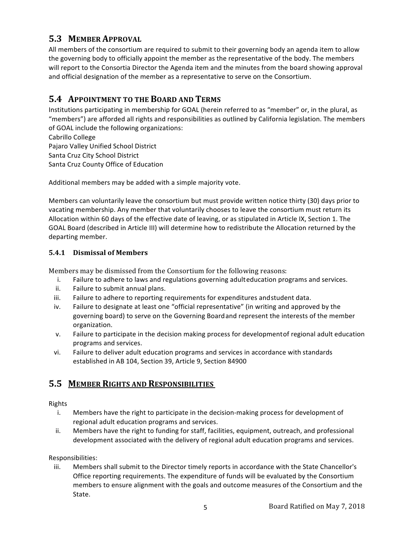## **5.3 MEMBER APPROVAL**

All members of the consortium are required to submit to their governing body an agenda item to allow the governing body to officially appoint the member as the representative of the body. The members will report to the Consortia Director the Agenda item and the minutes from the board showing approval and official designation of the member as a representative to serve on the Consortium.

### **5.4 APPOINTMENT TO THE BOARD AND TERMS**

Institutions participating in membership for GOAL (herein referred to as "member" or, in the plural, as "members") are afforded all rights and responsibilities as outlined by California legislation. The members of GOAL include the following organizations:

Cabrillo College Pajaro Valley Unified School District Santa Cruz City School District Santa Cruz County Office of Education

Additional members may be added with a simple majority vote.

Members can voluntarily leave the consortium but must provide written notice thirty (30) days prior to vacating membership. Any member that voluntarily chooses to leave the consortium must return its Allocation within 60 days of the effective date of leaving, or as stipulated in Article IX, Section 1. The GOAL Board (described in Article III) will determine how to redistribute the Allocation returned by the departing member.

#### **5.4.1 Dismissal of Members**

Members may be dismissed from the Consortium for the following reasons:

- i. Failure to adhere to laws and regulations governing adulteducation programs and services.
- ii. Failure to submit annual plans.
- iii. Failure to adhere to reporting requirements for expenditures and student data.
- iv. Failure to designate at least one "official representative" (in writing and approved by the governing board) to serve on the Governing Board and represent the interests of the member organization.
- v. Failure to participate in the decision making process for development of regional adult education programs and services.
- vi. Failure to deliver adult education programs and services in accordance with standards established in AB 104, Section 39, Article 9, Section 84900

### **5.5 MEMBER RIGHTS AND RESPONSIBILITIES**

#### Rights

- i. Members have the right to participate in the decision-making process for development of regional adult education programs and services.
- ii. Members have the right to funding for staff, facilities, equipment, outreach, and professional development associated with the delivery of regional adult education programs and services.

#### Responsibilities:

iii. Members shall submit to the Director timely reports in accordance with the State Chancellor's Office reporting requirements. The expenditure of funds will be evaluated by the Consortium members to ensure alignment with the goals and outcome measures of the Consortium and the State.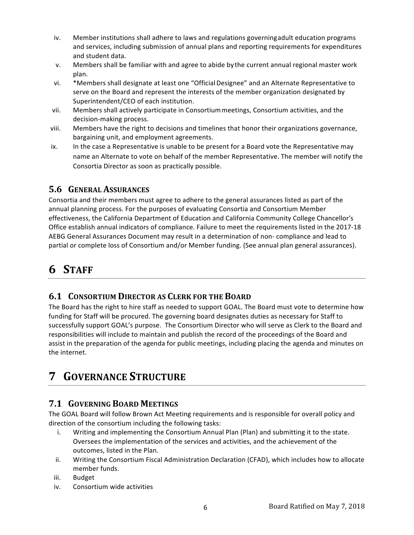- iv. Member institutions shall adhere to laws and regulations governing adult education programs and services, including submission of annual plans and reporting requirements for expenditures and student data.
- v. Members shall be familiar with and agree to abide by the current annual regional master work plan.
- vi. \*Members shall designate at least one "Official Designee" and an Alternate Representative to serve on the Board and represent the interests of the member organization designated by Superintendent/CEO of each institution.
- vii. Members shall actively participate in Consortium meetings, Consortium activities, and the decision-making process.
- viii. Members have the right to decisions and timelines that honor their organizations governance, bargaining unit, and employment agreements.
- ix. In the case a Representative is unable to be present for a Board vote the Representative may name an Alternate to vote on behalf of the member Representative. The member will notify the Consortia Director as soon as practically possible.

## **5.6 GENERAL ASSURANCES**

Consortia and their members must agree to adhere to the general assurances listed as part of the annual planning process. For the purposes of evaluating Consortia and Consortium Member effectiveness, the California Department of Education and California Community College Chancellor's Office establish annual indicators of compliance. Failure to meet the requirements listed in the 2017-18 AEBG General Assurances Document may result in a determination of non- compliance and lead to partial or complete loss of Consortium and/or Member funding. (See annual plan general assurances).

## **6 STAFF**

## **6.1 CONSORTIUM DIRECTOR AS CLERK FOR THE BOARD**

The Board has the right to hire staff as needed to support GOAL. The Board must vote to determine how funding for Staff will be procured. The governing board designates duties as necessary for Staff to successfully support GOAL's purpose. The Consortium Director who will serve as Clerk to the Board and responsibilities will include to maintain and publish the record of the proceedings of the Board and assist in the preparation of the agenda for public meetings, including placing the agenda and minutes on the internet.

## **7 GOVERNANCE STRUCTURE**

## **7.1 GOVERNING BOARD MEETINGS**

The GOAL Board will follow Brown Act Meeting requirements and is responsible for overall policy and direction of the consortium including the following tasks:

- i. Writing and implementing the Consortium Annual Plan (Plan) and submitting it to the state. Oversees the implementation of the services and activities, and the achievement of the outcomes, listed in the Plan.
- ii. Writing the Consortium Fiscal Administration Declaration (CFAD), which includes how to allocate member funds.
- iii. Budget
- iv. Consortium wide activities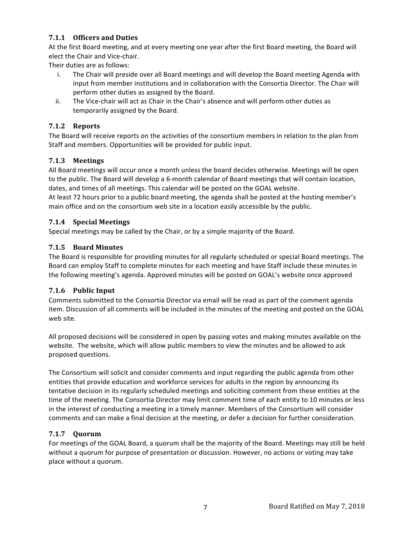#### **7.1.1 Officers and Duties**

At the first Board meeting, and at every meeting one year after the first Board meeting, the Board will elect the Chair and Vice-chair.

Their duties are as follows:

- i. The Chair will preside over all Board meetings and will develop the Board meeting Agenda with input from member institutions and in collaboration with the Consortia Director. The Chair will perform other duties as assigned by the Board.
- ii. The Vice-chair will act as Chair in the Chair's absence and will perform other duties as temporarily assigned by the Board.

#### **7.1.2 Reports**

The Board will receive reports on the activities of the consortium members in relation to the plan from Staff and members. Opportunities will be provided for public input.

#### **7.1.3 Meetings**

All Board meetings will occur once a month unless the board decides otherwise. Meetings will be open to the public. The Board will develop a 6-month calendar of Board meetings that will contain location, dates, and times of all meetings. This calendar will be posted on the GOAL website.

At least 72 hours prior to a public board meeting, the agenda shall be posted at the hosting member's main office and on the consortium web site in a location easily accessible by the public.

#### **7.1.4 Special Meetings**

Special meetings may be called by the Chair, or by a simple majority of the Board.

#### **7.1.5 Board Minutes**

The Board is responsible for providing minutes for all regularly scheduled or special Board meetings. The Board can employ Staff to complete minutes for each meeting and have Staff include these minutes in the following meeting's agenda. Approved minutes will be posted on GOAL's website once approved

#### **7.1.6 Public Input**

Comments submitted to the Consortia Director via email will be read as part of the comment agenda item. Discussion of all comments will be included in the minutes of the meeting and posted on the GOAL web site.

All proposed decisions will be considered in open by passing votes and making minutes available on the website. The website, which will allow public members to view the minutes and be allowed to ask proposed questions. 

The Consortium will solicit and consider comments and input regarding the public agenda from other entities that provide education and workforce services for adults in the region by announcing its tentative decision in its regularly scheduled meetings and soliciting comment from these entities at the time of the meeting. The Consortia Director may limit comment time of each entity to 10 minutes or less in the interest of conducting a meeting in a timely manner. Members of the Consortium will consider comments and can make a final decision at the meeting, or defer a decision for further consideration.

#### **7.1.7 Quorum**

For meetings of the GOAL Board, a quorum shall be the majority of the Board. Meetings may still be held without a quorum for purpose of presentation or discussion. However, no actions or voting may take place without a quorum.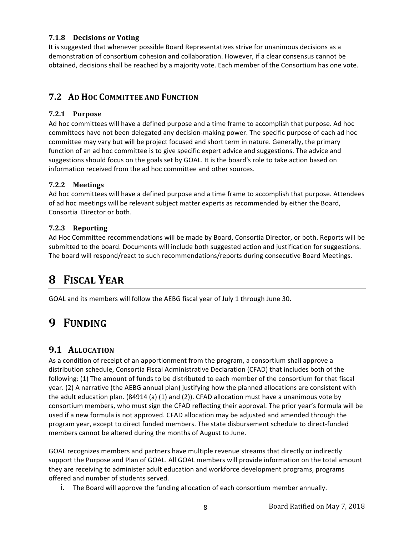#### **7.1.8 Decisions or Voting**

It is suggested that whenever possible Board Representatives strive for unanimous decisions as a demonstration of consortium cohesion and collaboration. However, if a clear consensus cannot be obtained, decisions shall be reached by a majority vote. Each member of the Consortium has one vote.

### **7.2 AD HOC COMMITTEE AND FUNCTION**

#### **7.2.1 Purpose**

Ad hoc committees will have a defined purpose and a time frame to accomplish that purpose. Ad hoc committees have not been delegated any decision-making power. The specific purpose of each ad hoc committee may vary but will be project focused and short term in nature. Generally, the primary function of an ad hoc committee is to give specific expert advice and suggestions. The advice and suggestions should focus on the goals set by GOAL. It is the board's role to take action based on information received from the ad hoc committee and other sources.

#### **7.2.2 Meetings**

Ad hoc committees will have a defined purpose and a time frame to accomplish that purpose. Attendees of ad hoc meetings will be relevant subject matter experts as recommended by either the Board, Consortia Director or both.

#### **7.2.3 Reporting**

Ad Hoc Committee recommendations will be made by Board, Consortia Director, or both. Reports will be submitted to the board. Documents will include both suggested action and justification for suggestions. The board will respond/react to such recommendations/reports during consecutive Board Meetings.

## **8 FISCAL YEAR**

GOAL and its members will follow the AEBG fiscal year of July 1 through June 30.

## **9 FUNDING**

### **9.1 ALLOCATION**

As a condition of receipt of an apportionment from the program, a consortium shall approve a distribution schedule, Consortia Fiscal Administrative Declaration (CFAD) that includes both of the following: (1) The amount of funds to be distributed to each member of the consortium for that fiscal year. (2) A narrative (the AEBG annual plan) justifying how the planned allocations are consistent with the adult education plan.  $(84914 (a) (1)$  and  $(2))$ . CFAD allocation must have a unanimous vote by consortium members, who must sign the CFAD reflecting their approval. The prior year's formula will be used if a new formula is not approved. CFAD allocation may be adjusted and amended through the program year, except to direct funded members. The state disbursement schedule to direct-funded members cannot be altered during the months of August to June.

GOAL recognizes members and partners have multiple revenue streams that directly or indirectly support the Purpose and Plan of GOAL. All GOAL members will provide information on the total amount they are receiving to administer adult education and workforce development programs, programs offered and number of students served.

i. The Board will approve the funding allocation of each consortium member annually.